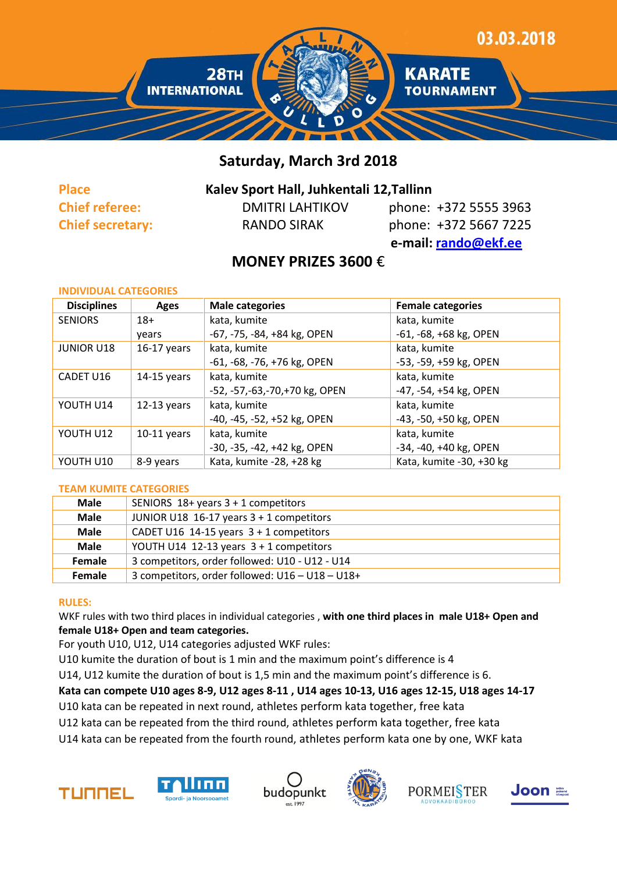

# **Saturday, March 3rd 2018**

## **Place Kalev Sport Hall, Juhkentali 12,Tallinn**

**Chief referee:** DMITRI LAHTIKOV phone: +372 5555 3963 **Chief secretary:** RANDO SIRAK phone: +372 5667 7225  **e-mail: [rando@ekf.ee](mailto:rando@ekf.ee)**

# **MONEY PRIZES 3600** €

| <b>INDIVIDUAL CATEGORIES</b> |               |                                  |                          |
|------------------------------|---------------|----------------------------------|--------------------------|
| <b>Disciplines</b>           | <b>Ages</b>   | <b>Male categories</b>           | <b>Female categories</b> |
| <b>SENIORS</b>               | $18+$         | kata, kumite                     | kata, kumite             |
|                              | years         | -67, -75, -84, +84 kg, OPEN      | $-61, -68, +68$ kg, OPEN |
| <b>JUNIOR U18</b>            | $16-17$ years | kata, kumite                     | kata, kumite             |
|                              |               | -61, -68, -76, +76 kg, OPEN      | -53, -59, +59 kg, OPEN   |
| CADET U16                    | $14-15$ years | kata, kumite                     | kata, kumite             |
|                              |               | -52, -57, -63, -70, +70 kg, OPEN | -47, -54, +54 kg, OPEN   |
| YOUTH U14                    | $12-13$ years | kata, kumite                     | kata, kumite             |
|                              |               | -40, -45, -52, +52 kg, OPEN      | -43, -50, +50 kg, OPEN   |
| YOUTH U12                    | $10-11$ years | kata, kumite                     | kata, kumite             |
|                              |               | -30, -35, -42, +42 kg, OPEN      | -34, -40, +40 kg, OPEN   |
| YOUTH U10                    | 8-9 years     | Kata, kumite -28, +28 kg         | Kata, kumite -30, +30 kg |
|                              |               |                                  |                          |

#### **TEAM KUMITE CATEGORIES**

| <b>Male</b> | SENIORS $18+$ years $3+1$ competitors           |
|-------------|-------------------------------------------------|
| <b>Male</b> | JUNIOR U18 16-17 years $3 + 1$ competitors      |
| <b>Male</b> | CADET U16 14-15 years $3 + 1$ competitors       |
| <b>Male</b> | YOUTH U14 12-13 years $3 + 1$ competitors       |
| Female      | 3 competitors, order followed: U10 - U12 - U14  |
| Female      | 3 competitors, order followed: U16 - U18 - U18+ |

#### **RULES:**

WKF rules with two third places in individual categories , **with one third places in male U18+ Open and female U18+ Open and team categories.**

For youth U10, U12, U14 categories adjusted WKF rules:

U10 kumite the duration of bout is 1 min and the maximum point's difference is 4

U14, U12 kumite the duration of bout is 1,5 min and the maximum point's difference is 6.

## **Kata can compete U10 ages 8-9, U12 ages 8-11 , U14 ages 10-13, U16 ages 12-15, U18 ages 14-17**

U10 kata can be repeated in next round, athletes perform kata together, free kata

U12 kata can be repeated from the third round, athletes perform kata together, free kata

U14 kata can be repeated from the fourth round, athletes perform kata one by one, WKF kata









**PORMEISTER**